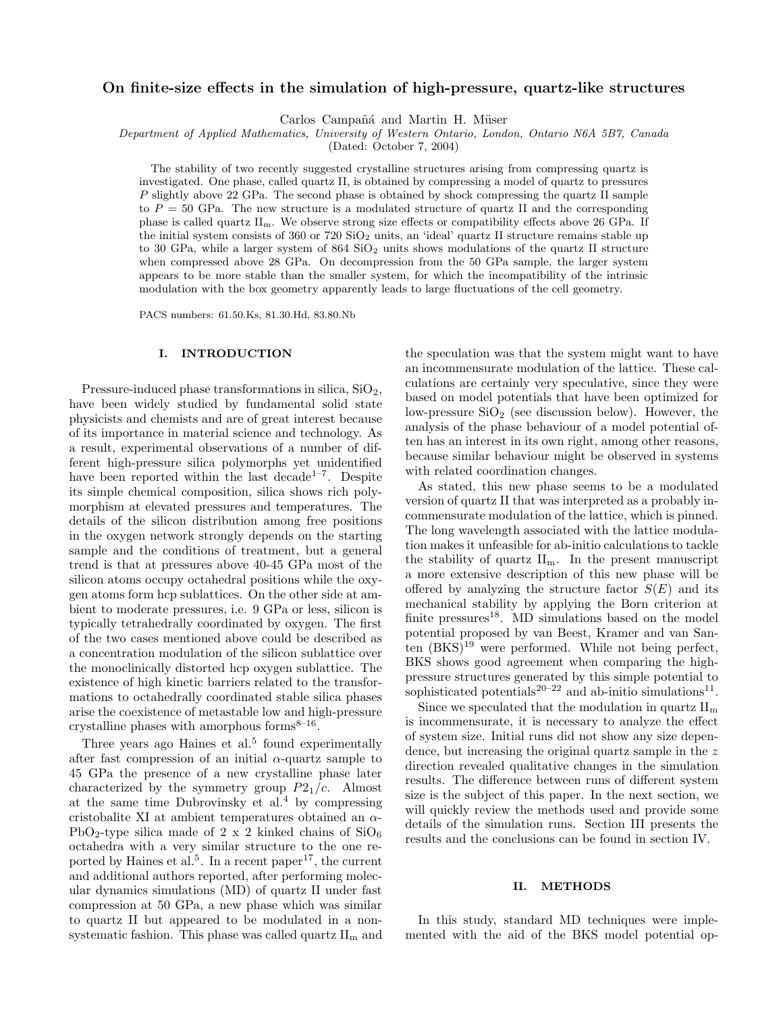# On finite-size effects in the simulation of high-pressure, quartz-like structures

Carlos Campañá and Martin H. Müser

Department of Applied Mathematics, University of Western Ontario, London, Ontario N6A 5B7, Canada

(Dated: October 7, 2004)

The stability of two recently suggested crystalline structures arising from compressing quartz is investigated. One phase, called quartz II, is obtained by compressing a model of quartz to pressures P slightly above 22 GPa. The second phase is obtained by shock compressing the quartz II sample to  $P = 50$  GPa. The new structure is a modulated structure of quartz II and the corresponding phase is called quartz IIm. We observe strong size effects or compatibility effects above 26 GPa. If the initial system consists of  $360$  or  $720$   $SiO<sub>2</sub>$  units, an 'ideal' quartz II structure remains stable up to 30 GPa, while a larger system of 864 SiO<sub>2</sub> units shows modulations of the quartz II structure when compressed above 28 GPa. On decompression from the 50 GPa sample, the larger system appears to be more stable than the smaller system, for which the incompatibility of the intrinsic modulation with the box geometry apparently leads to large fluctuations of the cell geometry.

PACS numbers: 61.50.Ks, 81.30.Hd, 83.80.Nb

# I. INTRODUCTION

Pressure-induced phase transformations in silica, SiO2, have been widely studied by fundamental solid state physicists and chemists and are of great interest because of its importance in material science and technology. As a result, experimental observations of a number of different high-pressure silica polymorphs yet unidentified have been reported within the last decade<sup>1-7</sup>. Despite its simple chemical composition, silica shows rich polymorphism at elevated pressures and temperatures. The details of the silicon distribution among free positions in the oxygen network strongly depends on the starting sample and the conditions of treatment, but a general trend is that at pressures above 40-45 GPa most of the silicon atoms occupy octahedral positions while the oxygen atoms form hcp sublattices. On the other side at ambient to moderate pressures, i.e. 9 GPa or less, silicon is typically tetrahedrally coordinated by oxygen. The first of the two cases mentioned above could be described as a concentration modulation of the silicon sublattice over the monoclinically distorted hcp oxygen sublattice. The existence of high kinetic barriers related to the transformations to octahedrally coordinated stable silica phases arise the coexistence of metastable low and high-pressure crystalline phases with amorphous forms $8-16$ .

Three years ago Haines et al.<sup>5</sup> found experimentally after fast compression of an initial  $\alpha$ -quartz sample to 45 GPa the presence of a new crystalline phase later characterized by the symmetry group  $P2_1/c$ . Almost at the same time Dubrovinsky et al. $4$  by compressing cristobalite XI at ambient temperatures obtained an  $\alpha$ -PbO<sub>2</sub>-type silica made of 2 x 2 kinked chains of  $SiO<sub>6</sub>$ octahedra with a very similar structure to the one reported by Haines et al.<sup>5</sup>. In a recent paper<sup>17</sup>, the current and additional authors reported, after performing molecular dynamics simulations (MD) of quartz II under fast compression at 50 GPa, a new phase which was similar to quartz II but appeared to be modulated in a nonsystematic fashion. This phase was called quartz  $II<sub>m</sub>$  and

the speculation was that the system might want to have an incommensurate modulation of the lattice. These calculations are certainly very speculative, since they were based on model potentials that have been optimized for low-pressure  $SiO<sub>2</sub>$  (see discussion below). However, the analysis of the phase behaviour of a model potential often has an interest in its own right, among other reasons, because similar behaviour might be observed in systems with related coordination changes.

As stated, this new phase seems to be a modulated version of quartz II that was interpreted as a probably incommensurate modulation of the lattice, which is pinned. The long wavelength associated with the lattice modulation makes it unfeasible for ab-initio calculations to tackle the stability of quartz  $II<sub>m</sub>$ . In the present manuscript a more extensive description of this new phase will be offered by analyzing the structure factor  $S(E)$  and its mechanical stability by applying the Born criterion at finite pressures<sup>18</sup>. MD simulations based on the model potential proposed by van Beest, Kramer and van Santen  $(BKS)^{19}$  were performed. While not being perfect, BKS shows good agreement when comparing the highpressure structures generated by this simple potential to sophisticated potentials<sup>20-22</sup> and ab-initio simulations<sup>11</sup>.

Since we speculated that the modulation in quartz  $II<sub>m</sub>$ is incommensurate, it is necessary to analyze the effect of system size. Initial runs did not show any size dependence, but increasing the original quartz sample in the z direction revealed qualitative changes in the simulation results. The difference between runs of different system size is the subject of this paper. In the next section, we will quickly review the methods used and provide some details of the simulation runs. Section III presents the results and the conclusions can be found in section IV.

### II. METHODS

In this study, standard MD techniques were implemented with the aid of the BKS model potential op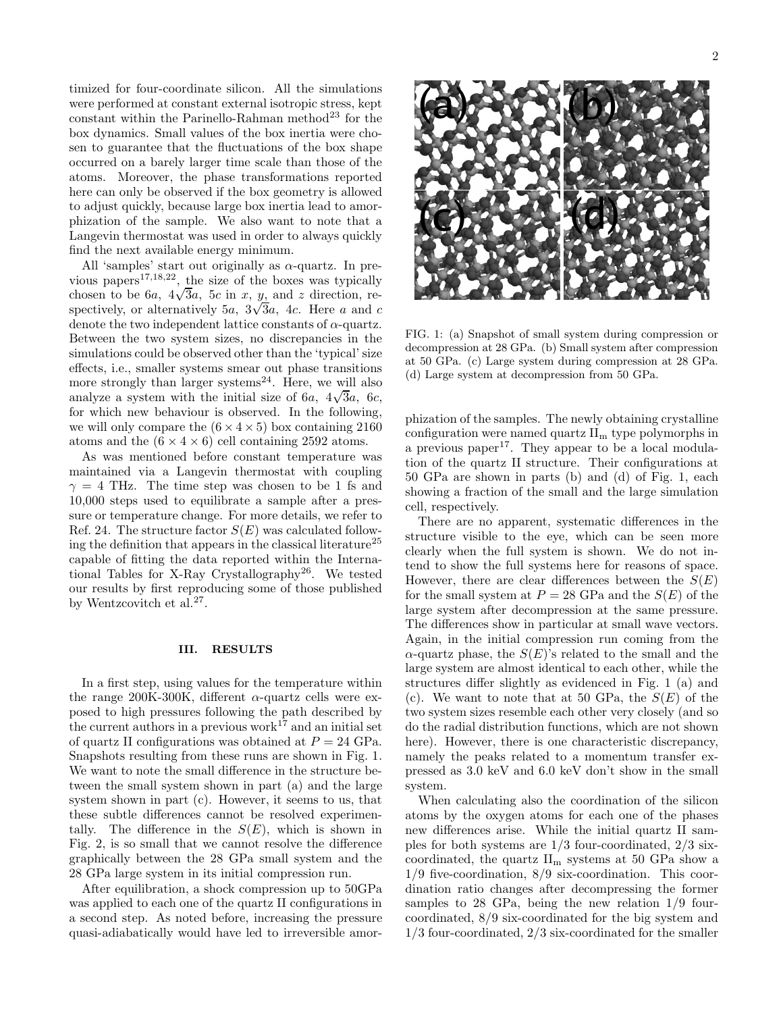timized for four-coordinate silicon. All the simulations were performed at constant external isotropic stress, kept constant within the Parinello-Rahman method <sup>23</sup> for the box dynamics. Small values of the box inertia were chosen to guarantee that the fluctuations of the box shape occurred on a barely larger time scale than those of the atoms. Moreover, the phase transformations reported here can only be observed if the box geometry is allowed to adjust quickly, because large box inertia lead to amorphization of the sample. We also want to note that a Langevin thermostat was used in order to always quickly find the next available energy minimum.

All 'samples' start out originally as  $\alpha$ -quartz. In previous papers<sup>17,18,22</sup>, the size of the boxes was typically chosen to be 6a,  $4\sqrt{3}a$ , 5c in x, y, and z direction, respectively, or alternatively 5a,  $3\sqrt{3}a$ , 4c. Here a and c denote the two independent lattice constants of  $\alpha$ -quartz. Between the two system sizes, no discrepancies in the simulations could be observed other than the 'typical' size effects, i.e., smaller systems smear out phase transitions more strongly than larger systems<sup>24</sup>. Here, we will also analyze a system with the initial size of  $6a$ ,  $4\sqrt{3}a$ ,  $6c$ , for which new behaviour is observed. In the following, we will only compare the  $(6 \times 4 \times 5)$  box containing 2160 atoms and the  $(6 \times 4 \times 6)$  cell containing 2592 atoms.

As was mentioned before constant temperature was maintained via a Langevin thermostat with coupling  $\gamma = 4$  THz. The time step was chosen to be 1 fs and 10,000 steps used to equilibrate a sample after a pressure or temperature change. For more details, we refer to Ref. 24. The structure factor  $S(E)$  was calculated following the definition that appears in the classical literature<sup>25</sup> capable of fitting the data reported within the International Tables for X-Ray Crystallography 26 . We tested our results by first reproducing some of those published by Wentzcovitch et al.<sup>27</sup>.

#### III. RESULTS

In a first step, using values for the temperature within the range 200K-300K, different  $\alpha$ -quartz cells were exposed to high pressures following the path described by the current authors in a previous work<sup>17</sup> and an initial set of quartz II configurations was obtained at  $P = 24$  GPa. Snapshots resulting from these runs are shown in Fig. 1. We want to note the small difference in the structure between the small system shown in part (a) and the large system shown in part (c). However, it seems to us, that these subtle differences cannot be resolved experimentally. The difference in the  $S(E)$ , which is shown in Fig. 2, is so small that we cannot resolve the difference graphically between the 28 GPa small system and the 28 GPa large system in its initial compression run.

After equilibration, a shock compression up to 50GPa was applied to each one of the quartz II configurations in a second step. As noted before, increasing the pressure quasi-adiabatically would have led to irreversible amor-



FIG. 1: (a) Snapshot of small system during compression or decompression at 28 GPa. (b) Small system after compression at 50 GPa. (c) Large system during compression at 28 GPa. (d) Large system at decompression from 50 GPa.

phization of the samples. The newly obtaining crystalline configuration were named quartz  $II<sub>m</sub>$  type polymorphs in a previous paper<sup>17</sup>. They appear to be a local modulation of the quartz II structure. Their configurations at 50 GPa are shown in parts (b) and (d) of Fig. 1, each showing a fraction of the small and the large simulation cell, respectively.

There are no apparent, systematic differences in the structure visible to the eye, which can be seen more clearly when the full system is shown. We do not intend to show the full systems here for reasons of space. However, there are clear differences between the  $S(E)$ for the small system at  $P = 28$  GPa and the  $S(E)$  of the large system after decompression at the same pressure. The differences show in particular at small wave vectors. Again, in the initial compression run coming from the  $\alpha$ -quartz phase, the  $S(E)$ 's related to the small and the large system are almost identical to each other, while the structures differ slightly as evidenced in Fig. 1 (a) and (c). We want to note that at 50 GPa, the  $S(E)$  of the two system sizes resemble each other very closely (and so do the radial distribution functions, which are not shown here). However, there is one characteristic discrepancy, namely the peaks related to a momentum transfer expressed as 3.0 keV and 6.0 keV don't show in the small system.

When calculating also the coordination of the silicon atoms by the oxygen atoms for each one of the phases new differences arise. While the initial quartz II samples for both systems are 1/3 four-coordinated, 2/3 sixcoordinated, the quartz  $II<sub>m</sub>$  systems at 50 GPa show a 1/9 five-coordination, 8/9 six-coordination. This coordination ratio changes after decompressing the former samples to 28 GPa, being the new relation 1/9 fourcoordinated, 8/9 six-coordinated for the big system and 1/3 four-coordinated, 2/3 six-coordinated for the smaller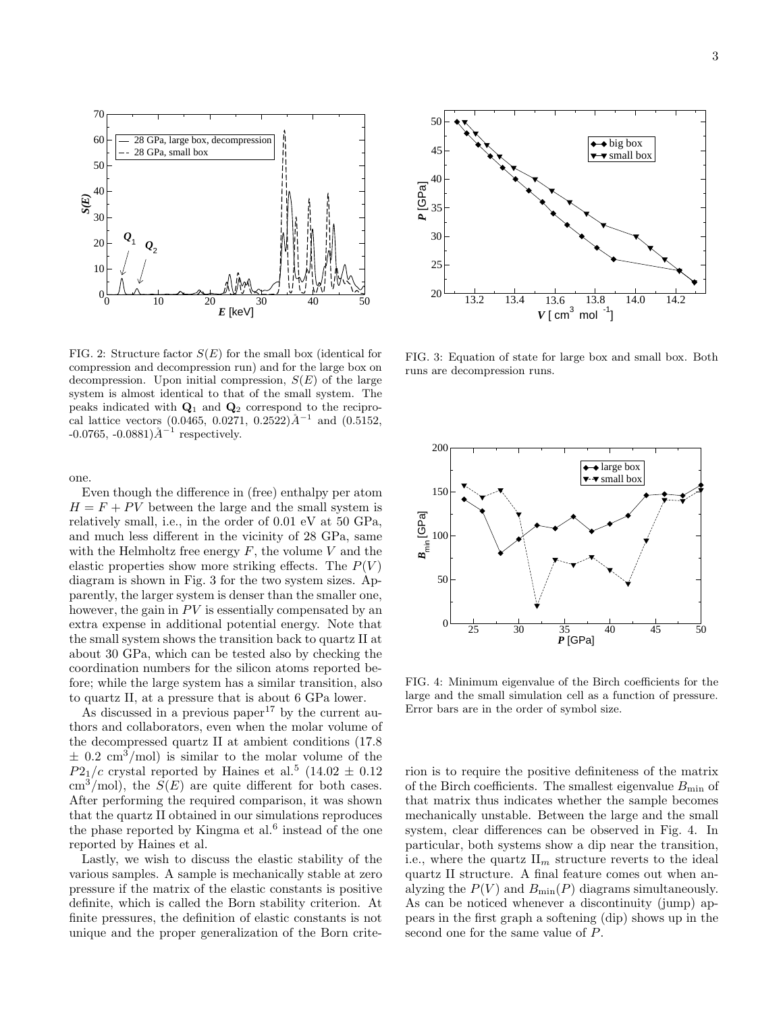

FIG. 2: Structure factor  $S(E)$  for the small box (identical for compression and decompression run) and for the large box on decompression. Upon initial compression,  $S(E)$  of the large system is almost identical to that of the small system. The peaks indicated with  $\mathbf{Q}_1$  and  $\mathbf{Q}_2$  correspond to the reciprocal lattice vectors (0.0465, 0.0271, 0.2522) $\AA^{-1}$  and (0.5152,  $-0.0765, -0.0881$ ) $\AA^{-1}$  respectively.

one.

Even though the difference in (free) enthalpy per atom  $H = F + PV$  between the large and the small system is relatively small, i.e., in the order of 0.01 eV at 50 GPa, and much less different in the vicinity of 28 GPa, same with the Helmholtz free energy  $F$ , the volume  $V$  and the elastic properties show more striking effects. The  $P(V)$ diagram is shown in Fig. 3 for the two system sizes. Apparently, the larger system is denser than the smaller one, however, the gain in PV is essentially compensated by an extra expense in additional potential energy. Note that the small system shows the transition back to quartz II at about 30 GPa, which can be tested also by checking the coordination numbers for the silicon atoms reported before; while the large system has a similar transition, also to quartz II, at a pressure that is about 6 GPa lower.

As discussed in a previous paper<sup>17</sup> by the current authors and collaborators, even when the molar volume of the decompressed quartz II at ambient conditions (17.8  $\pm$  0.2 cm<sup>3</sup>/mol) is similar to the molar volume of the  $P2<sub>1</sub>/c$  crystal reported by Haines et al.<sup>5</sup> (14.02  $\pm$  0.12  $\text{cm}^3/\text{mol}$ , the  $S(E)$  are quite different for both cases. After performing the required comparison, it was shown that the quartz II obtained in our simulations reproduces the phase reported by Kingma et al. $<sup>6</sup>$  instead of the one</sup> reported by Haines et al.

Lastly, we wish to discuss the elastic stability of the various samples. A sample is mechanically stable at zero pressure if the matrix of the elastic constants is positive definite, which is called the Born stability criterion. At finite pressures, the definition of elastic constants is not unique and the proper generalization of the Born crite-



FIG. 3: Equation of state for large box and small box. Both runs are decompression runs.



FIG. 4: Minimum eigenvalue of the Birch coefficients for the large and the small simulation cell as a function of pressure. Error bars are in the order of symbol size.

rion is to require the positive definiteness of the matrix of the Birch coefficients. The smallest eigenvalue  $B_{\text{min}}$  of that matrix thus indicates whether the sample becomes mechanically unstable. Between the large and the small system, clear differences can be observed in Fig. 4. In particular, both systems show a dip near the transition, i.e., where the quartz  $\prod_m$  structure reverts to the ideal quartz II structure. A final feature comes out when analyzing the  $P(V)$  and  $B_{\min}(P)$  diagrams simultaneously. As can be noticed whenever a discontinuity (jump) appears in the first graph a softening (dip) shows up in the second one for the same value of P.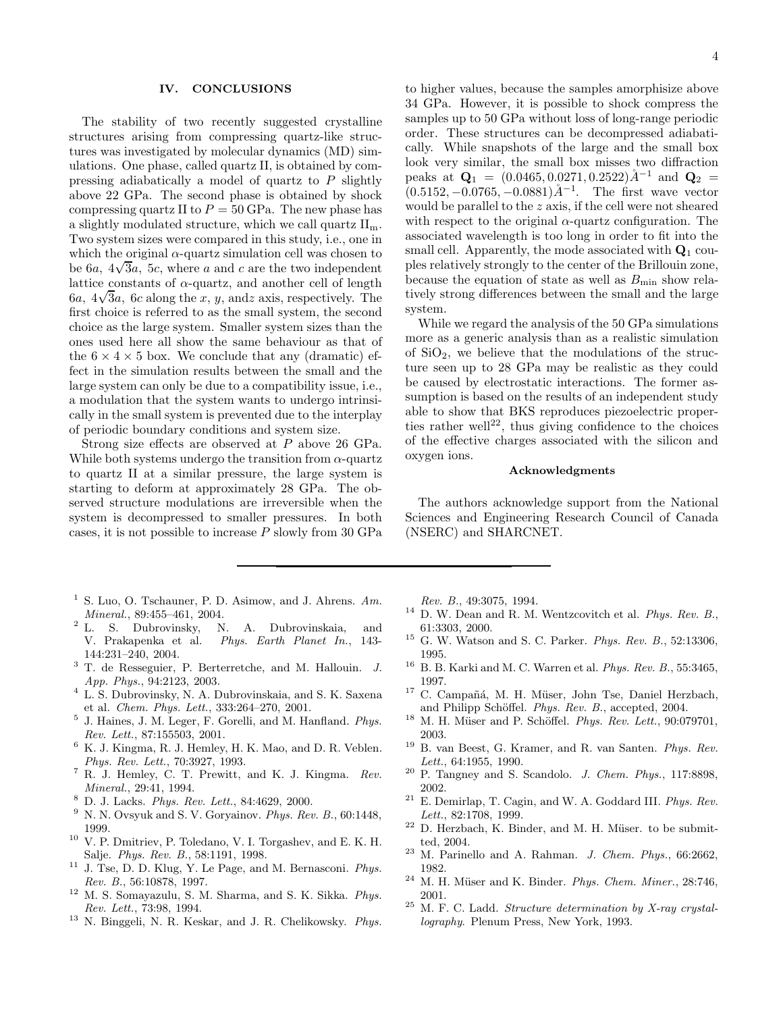### IV. CONCLUSIONS

The stability of two recently suggested crystalline structures arising from compressing quartz-like structures was investigated by molecular dynamics (MD) simulations. One phase, called quartz II, is obtained by compressing adiabatically a model of quartz to P slightly above 22 GPa. The second phase is obtained by shock compressing quartz II to  $P = 50$  GPa. The new phase has a slightly modulated structure, which we call quartz  $II<sub>m</sub>$ . Two system sizes were compared in this study, i.e., one in which the original  $\alpha$ -quartz simulation cell was chosen to be  $6a$ ,  $4\sqrt{3}a$ ,  $5c$ , where a and c are the two independent lattice constants of  $\alpha$ -quartz, and another cell of length  $6a$ ,  $4\sqrt{3}a$ ,  $6c$  along the x, y, and axis, respectively. The first choice is referred to as the small system, the second choice as the large system. Smaller system sizes than the ones used here all show the same behaviour as that of the  $6 \times 4 \times 5$  box. We conclude that any (dramatic) effect in the simulation results between the small and the large system can only be due to a compatibility issue, i.e., a modulation that the system wants to undergo intrinsically in the small system is prevented due to the interplay of periodic boundary conditions and system size.

Strong size effects are observed at P above 26 GPa. While both systems undergo the transition from  $\alpha$ -quartz to quartz II at a similar pressure, the large system is starting to deform at approximately 28 GPa. The observed structure modulations are irreversible when the system is decompressed to smaller pressures. In both cases, it is not possible to increase P slowly from 30 GPa

- <sup>1</sup> S. Luo, O. Tschauner, P. D. Asimow, and J. Ahrens.  $Am$ . Mineral., 89:455–461, 2004.<br>
L. S. Dubrovinsky, N. A. Dubrovinskaia,
- <sup>2</sup> L. S. Dubrovinsky, N. A. Dubrovinskaia, and V. Prakapenka et al. *Phys. Earth Planet In.*, 143-Phys. Earth Planet In., 143-144:231–240, 2004.
- <sup>3</sup> T. de Resseguier, P. Berterretche, and M. Hallouin. J. App. Phys., 94:2123, 2003.
- <sup>4</sup> L. S. Dubrovinsky, N. A. Dubrovinskaia, and S. K. Saxena et al. Chem. Phys. Lett., 333:264–270, 2001.
- <sup>5</sup> J. Haines, J. M. Leger, F. Gorelli, and M. Hanfland. Phys. Rev. Lett., 87:155503, 2001.
- $^6\,$  K. J. Kingma, R. J. Hemley, H. K. Mao, and D. R. Veblen. Phys. Rev. Lett., 70:3927, 1993.
- <sup>7</sup> R. J. Hemley, C. T. Prewitt, and K. J. Kingma. Rev. Mineral., 29:41, 1994.
- <sup>8</sup> D. J. Lacks. Phys. Rev. Lett., 84:4629, 2000.
- $9\,$  N. N. Ovsyuk and S. V. Goryainov. Phys. Rev. B., 60:1448, 1999.
- <sup>10</sup> V. P. Dmitriev, P. Toledano, V. I. Torgashev, and E. K. H. Salje. Phys. Rev. B., 58:1191, 1998.
- $11$  J. Tse, D. D. Klug, Y. Le Page, and M. Bernasconi. *Phys.* Rev. B., 56:10878, 1997.
- <sup>12</sup> M. S. Somayazulu, S. M. Sharma, and S. K. Sikka. Phys. Rev. Lett., 73:98, 1994.
- <sup>13</sup> N. Binggeli, N. R. Keskar, and J. R. Chelikowsky. Phys.

to higher values, because the samples amorphisize above 34 GPa. However, it is possible to shock compress the samples up to 50 GPa without loss of long-range periodic order. These structures can be decompressed adiabatically. While snapshots of the large and the small box look very similar, the small box misses two diffraction peaks at  $\mathbf{Q}_1 = (0.0465, 0.0271, 0.2522) \AA^{-1}$  and  $\mathbf{Q}_2 =$  $(0.5152, -0.0765, -0.0881)$ <sup>A-1</sup>. The first wave vector would be parallel to the z axis, if the cell were not sheared with respect to the original  $\alpha$ -quartz configuration. The associated wavelength is too long in order to fit into the small cell. Apparently, the mode associated with  $\mathbf{Q}_1$  couples relatively strongly to the center of the Brillouin zone, because the equation of state as well as  $B_{\text{min}}$  show relatively strong differences between the small and the large system.

While we regard the analysis of the 50 GPa simulations more as a generic analysis than as a realistic simulation of  $SiO<sub>2</sub>$ , we believe that the modulations of the structure seen up to 28 GPa may be realistic as they could be caused by electrostatic interactions. The former assumption is based on the results of an independent study able to show that BKS reproduces piezoelectric properties rather well<sup>22</sup>, thus giving confidence to the choices of the effective charges associated with the silicon and oxygen ions.

## Acknowledgments

The authors acknowledge support from the National Sciences and Engineering Research Council of Canada (NSERC) and SHARCNET.

Rev. B., 49:3075, 1994.

- $^{14}$  D. W. Dean and R. M. Wentzcovitch et al. Phys. Rev. B., 61:3303, 2000.
- $^{15}$  G. W. Watson and S. C. Parker. Phys. Rev. B., 52:13306, 1995.
- $^{16}$  B. B. Karki and M. C. Warren et al. Phys. Rev. B., 55:3465, 1997.
- <sup>17</sup> C. Campañá, M. H. Müser, John Tse, Daniel Herzbach, and Philipp Schöffel. Phys. Rev. B., accepted, 2004.
- $18$  M. H. Müser and P. Schöffel. Phys. Rev. Lett., 90:079701, 2003.
- <sup>19</sup> B. van Beest, G. Kramer, and R. van Santen. Phys. Rev. Lett., 64:1955, 1990.
- <sup>20</sup> P. Tangney and S. Scandolo. J. Chem. Phys., 117:8898, 2002.
- <sup>21</sup> E. Demirlap, T. Cagin, and W. A. Goddard III. Phys. Rev. Lett., 82:1708, 1999.
- $22$  D. Herzbach, K. Binder, and M. H. Müser. to be submitted, 2004.
- $^{23}$  M. Parinello and A. Rahman. *J. Chem. Phys.*, 66:2662, 1982.
- $^{24}$  M. H. Müser and K. Binder. Phys. Chem. Miner., 28:746, 2001.
- $25$  M. F. C. Ladd. Structure determination by X-ray crystallography. Plenum Press, New York, 1993.